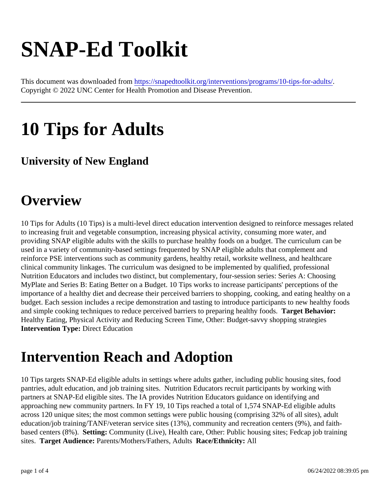# SNAP-Ed Toolkit

This document was downloaded fr[om https://snapedtoolkit.org/interventions/programs/10-tips-for-ad](https://snapedtoolkit.org/interventions/programs/10-tips-for-adults/)ults/ Copyright © 2022 UNC Center for Health Promotion and Disease Prevention.

# 10 Tips for Adults

#### University of New England

### **Overview**

10 Tips for Adults (10 Tips) is a multi-level direct education intervention designed to reinforce messages relat to increasing fruit and vegetable consumption, increasing physical activity, consuming more water, and providing SNAPeligible adults with the skills to purchase healthy foods on a budget. The curriculum can be used in a variety of community-based settings frequented by SNAP eligible adults that complement and reinforce PSE interventions such as community gardens, healthy retail, worksite wellness, and healthcare clinical community linkages. The curriculum was designed to be implemented by qualified, professional Nutrition Educator and includes two distinct, but complementary ur-sessionseries: Series: Choosing MyPlate and Series B: Eating Better on a Budget. 10 Tips works to increase participants' perceptions of the importance of a healthy diet and decrease their perceived barriers to shopping, cooking, and eating healthy o budget.Each session includes a recipe demonstration and tasting to introduce participants to new healthy foods and simple cooking techniques to reduce perceived barriers to preparing healthy Targets. Behavior: Healthy Eating, Physical Aixity and Reducing Screen Tim Other Budget-savvy shopping strategies Intervention Type: Direct Education

#### Intervention Reach and Adoption

10 Tips targets SNAP-Ed eligible adults in settings where adults gather, including public has food pantries, aduleducation, and job training sites Nutrition Educators recruit participants by working with partners at SNAP-Ed eligible sites. The IA provides Nutrition Educators guidance on identifying and approaching new community partners. In FSY, 10 Tips reached a total of 1,574 SNAP-Ed eligible adults across 120 unique sites; the most common settings were public housing (comprising 32% of all sites), adult education/job training/TANF/veteran service sites (13%), community and recreatitens (9%), and faithbased centers (8%). Setting: Community (Live) Health care Other: Public housing sites, Fedcap ob training sites. Target Audience: Parents/Mothers/Fathers dults Race/Ethnicity: All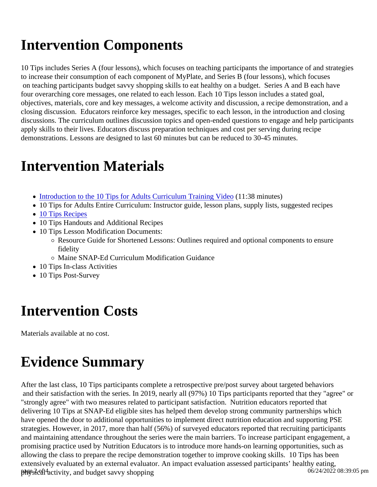## Intervention Components

10 Tips include Series A (four lessors), which focuses on teaching participants the importance of and strategies to increase their consumption of each component of MyPdatt Series B (four lessors), which focuses on teaching participants budget savvy shopping skills to eat healthy on a bold get A and B each have four overarching core messages, one related tolesson Each 10 Tips lesson includes a stated goal, objectives, materials, core and key messages, come activity and discussion recipe demonstration, and a closing discussionEducators reinforce key messages, specific to each lesson, in the introduction and closing discussions. The curriculum outlines discussion topicsoned-ended questions to engage and help participants apply skills to their lives. Educators discuss preparation techniques and cost per serving during recipe demonstrations. Lessons are designed to last 60 minutes but can be reduced to 30-45 minutes.

#### Intervention Materials

- [Introduction to the 10 Tips for Adults Curriculum Training Vid](https://www.mainesnap-ed.org/maine-snap-ed/10-tips-for-adults-curriculum/)ed:38 minutes)
- 10 Tips for Adults Entire Curriculum: Instructor guide, lesson plans, supply lists, suggested recipes
- [10 Tips Recipe](https://www.mainesnap-ed.org/wp-content/uploads/2018/07/10-Tips-Cookbook.pdf)s
- 10 Tips Handouts and Additional Recipes
- 10 Tips Lesson Modification Documents:
	- Resource Guide for Shortened Lessons: Outlines required and optional components to ensure fidelity
	- Maine SNAP-Ed Curriculum Modification Guidance
- 10 Tips In-class Activities
- 10 Tips Post-Survey

#### Intervention Costs

Materials available at no cost.

# Evidence Summary

After the last class, 10 Tips participants complete a retrospective pre/post survey about the repried behaviors and their satisfaction with the series. In 2019, nearly all (97%) 10 Tips participants reported that they "agree" "strongly agree" with two measures related to participant satisfaction ition educators reported that delivering 10 Tips at SNAP-Ed eligible sites has helped them develop strong community partnerships which have opened the door to additional opportunities to implement direct nutrition education and supporting PSE strategies. However, in 2017, more than half (56%) of surveyed educators reported that recruiting participants and maintaining attendance throughout the series were the main barriers. To increase participant engagemer promising practice used by Nutrition Educators is to introduce more hands-on learning opportunities, such as allowing the class to prepare the recipe demonstration together to improve cooking 6kills has been extensively evaluated by an external evaluator. An impact evaluation assessed participants' healthy eating,<br>Bege collectivity and budget say w shopping presical activity, and budget savvy shopping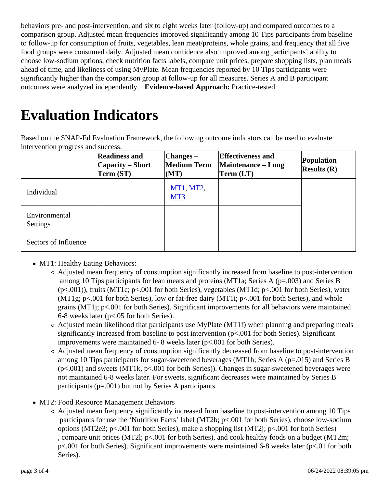behavior pre- and post-intervention, and to eight weeks later (follow-up) and compared outcomes to a comparison group. Adjusted mean frequencies improved significantly among 10 Tips participants from baseling to follow-up for consumption of fruits, vegetables, lean meat/proteins, whole grains, and frequency that all five food groups were consumed daind distributed mean confidence also improved among participants' ability to choose low-sodium options, check nutrition facts labels, compare unit prices, prepare shopping lists, plan me ahead of time, and likeliness of using MyPlate. Mean frequencies reported by 10 Tips participants were significantly higher than the comparison group at follow-up for all measures. Series A and B participant outcomes weranalyzedndependently. Evidence-based ApproachPractice-tested

# Evaluation Indicators

Based on the SNAP-Ed Evaluation Framework, the following outcome indicators can be used to evaluate intervention progress and success.

|                           | Readiness and<br>Capacity - Short<br>Term (ST) | $ Changes -$<br>Medium Term<br>(MT) | Effectiveness and<br>Maintenance - Long<br>Term (LT) | Population<br>Results (R) |
|---------------------------|------------------------------------------------|-------------------------------------|------------------------------------------------------|---------------------------|
| Individual                |                                                | MT1, MT2,<br>MT <sub>3</sub>        |                                                      |                           |
| Environmental<br>Settings |                                                |                                     |                                                      |                           |
| Sectors of Influence      |                                                |                                     |                                                      |                           |

- MT1: Healthy Eating Behaviors
	- $\circ$  Adjusted mean frequence consumption significantly increased from baseline to portervention among 10 Tips participants flean meats and proteins  $\text{MTT1a}$ ; Series A (p=.003) and Series B  $(p<.001)$ , fruits (MT1c;  $p<.001$  for both Series), vegetable  $M$ T1d;  $p<.001$  for both Series) water (MT1g;  $p$ <.001 for both Series) bw or fat-free dairy (MT1ip<.001 for both Series) and whole grains (MT1j; p<.001 for both Serie Significant improvement for all behaviors were maintained 6-8 weeks later (p<50 for both Series).
	- $\circ$  Adjusted mean likelihood that participants use MyP( $M$  $\ddot{\theta}$ 1f) when planning and preparing meals significantly increased from baseline to post intervention (p<.001 for both Series). Significant improvements were maintained 6- 8 weeks later (p<.001 for both Series).
	- $\circ$  Adjusted mean frequency of consumption significantly decreased from baseline intervention among 10 Tips participants for sugar-sweetened beverages ( $\sqrt{3}$  fies A (p=.05) and Series B (p<.001) and sweets (MT1k, p<.001 for both Serjes) hanges in sugar-sweetened beverages were not maintained 6-& weeks later. For sweets gaificant decreases were maintained by Series B participants (p=.001) but not by Series A participants.
- MT2: Food Resource Management Behaviors
	- $\circ$  Adjusted mean frequency gnificantly increased from baseline to portervention among 10 Tips participants for use the 'Nutrition Facts' label (MT2bp<.001 for both Series choose low-sodium options (MT2e3;  $p$ <.001 for both Series), make a shopping list ( $M$  $E2$ 001 for both Series) , compare unit prices (MT2I; p<.001 for both Series) d cook healthy foods on a budget (MT2m; p<.001 for both Series Significant improvement were maintained 6-8 weeks later (p4.0 both Series).